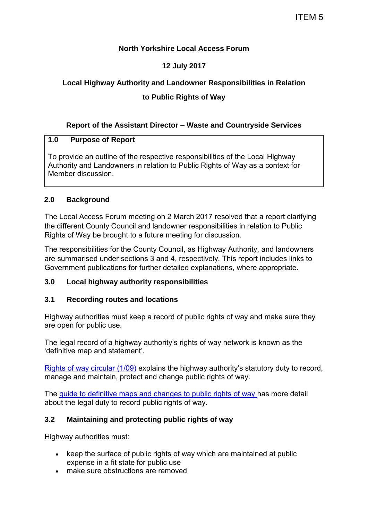# **North Yorkshire Local Access Forum**

# **12 July 2017**

# **Local Highway Authority and Landowner Responsibilities in Relation**

# **to Public Rights of Way**

# **Report of the Assistant Director – Waste and Countryside Services**

### **1.0 Purpose of Report**

To provide an outline of the respective responsibilities of the Local Highway Authority and Landowners in relation to Public Rights of Way as a context for Member discussion.

# **2.0 Background**

The Local Access Forum meeting on 2 March 2017 resolved that a report clarifying the different County Council and landowner responsibilities in relation to Public Rights of Way be brought to a future meeting for discussion.

The responsibilities for the County Council, as Highway Authority, and landowners are summarised under sections 3 and 4, respectively. This report includes links to Government publications for further detailed explanations, where appropriate.

# **3.0 Local highway authority responsibilities**

#### **3.1 Recording routes and locations**

Highway authorities must keep a record of public rights of way and make sure they are open for public use.

The legal record of a highway authority's rights of way network is known as the 'definitive map and statement'.

[Rights of way circular \(1/09\)](https://www.gov.uk/government/publications/rights-of-way-circular-1-09) explains the highway authority's statutory duty to record, manage and maintain, protect and change public rights of way.

The [guide to definitive maps and changes to public rights of way](https://www.gov.uk/government/publications/definitive-maps-of-public-rights-of-way-change-the-legal-records) has more detail about the legal duty to record public rights of way.

# **3.2 Maintaining and protecting public rights of way**

Highway authorities must:

- keep the surface of public rights of way which are maintained at public expense in a fit state for public use
- make sure obstructions are removed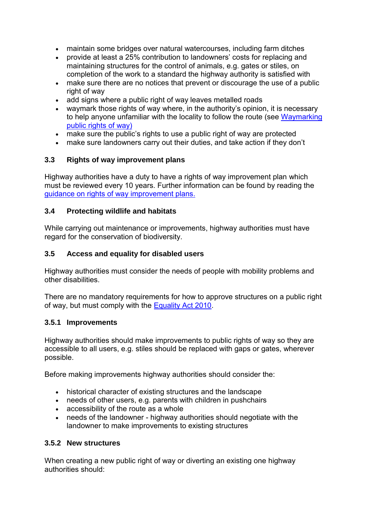- maintain some bridges over natural watercourses, including farm ditches
- provide at least a 25% contribution to landowners' costs for replacing and maintaining structures for the control of animals, e.g. gates or stiles, on completion of the work to a standard the highway authority is satisfied with
- make sure there are no notices that prevent or discourage the use of a public right of way
- add signs where a public right of way leaves metalled roads
- waymark those rights of way where, in the authority's opinion, it is necessary to help anyone unfamiliar with the locality to follow the route (see Waymarking [public rights of way\)](https://www.gov.uk/government/publications/signs-on-public-rights-of-way)
- make sure the public's rights to use a public right of way are protected
- make sure landowners carry out their duties, and take action if they don't

### **3.3 Rights of way improvement plans**

Highway authorities have a duty to have a rights of way improvement plan which must be reviewed every 10 years. Further information can be found by reading the [guidance on rights of way improvement plans.](https://www.gov.uk/guidance/local-authority-rights-of-way-improvement-plans)

#### **3.4 Protecting wildlife and habitats**

While carrying out maintenance or improvements, highway authorities must have regard for the conservation of biodiversity.

### **3.5 Access and equality for disabled users**

Highway authorities must consider the needs of people with mobility problems and other disabilities.

There are no mandatory requirements for how to approve structures on a public right of way, but must comply with the [Equality Act 2010.](http://www.legislation.gov.uk/ukpga/2010/15/contents)

#### **3.5.1 Improvements**

Highway authorities should make improvements to public rights of way so they are accessible to all users, e.g. stiles should be replaced with gaps or gates, wherever possible.

Before making improvements highway authorities should consider the:

- historical character of existing structures and the landscape
- needs of other users, e.g. parents with children in pushchairs
- accessibility of the route as a whole
- needs of the landowner highway authorities should negotiate with the landowner to make improvements to existing structures

### **3.5.2 New structures**

When creating a new public right of way or diverting an existing one highway authorities should: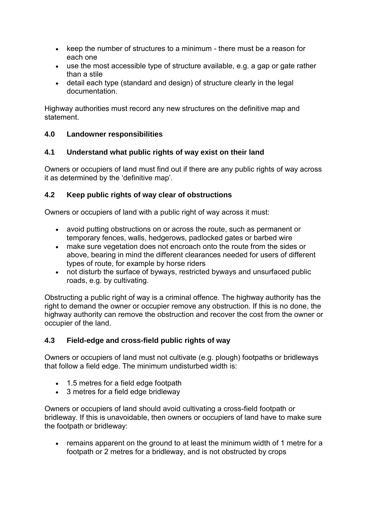- $\bullet$  keep the number of structures to a minimum there must be a reason for each one
- use the most accessible type of structure available, e.g. a gap or gate rather than a stile
- detail each type (standard and design) of structure clearly in the legal documentation.

Highway authorities must record any new structures on the definitive map and statement.

# **4.0 Landowner responsibilities**

# **4.1 Understand what public rights of way exist on their land**

Owners or occupiers of land must find out if there are any public rights of way across it as determined by the 'definitive map'.

# **4.2 Keep public rights of way clear of obstructions**

Owners or occupiers of land with a public right of way across it must:

- avoid putting obstructions on or across the route, such as permanent or temporary fences, walls, hedgerows, padlocked gates or barbed wire
- make sure vegetation does not encroach onto the route from the sides or above, bearing in mind the different clearances needed for users of different types of route, for example by horse riders
- not disturb the surface of byways, restricted byways and unsurfaced public roads, e.g. by cultivating.

Obstructing a public right of way is a criminal offence. The highway authority has the right to demand the owner or occupier remove any obstruction. If this is no done, the highway authority can remove the obstruction and recover the cost from the owner or occupier of the land.

# **4.3 Field-edge and cross-field public rights of way**

Owners or occupiers of land must not cultivate (e.g. plough) footpaths or bridleways that follow a field edge. The minimum undisturbed width is:

- 1.5 metres for a field edge footpath
- 3 metres for a field edge bridleway

Owners or occupiers of land should avoid cultivating a cross-field footpath or bridleway. If this is unavoidable, then owners or occupiers of land have to make sure the footpath or bridleway:

 remains apparent on the ground to at least the minimum width of 1 metre for a footpath or 2 metres for a bridleway, and is not obstructed by crops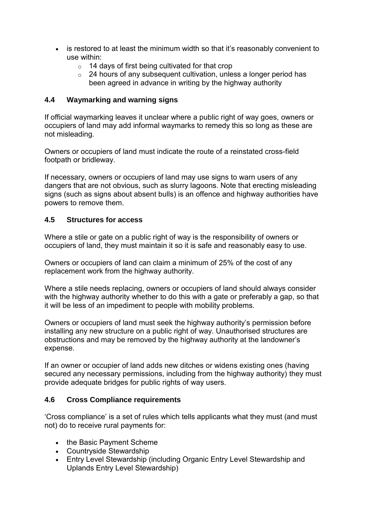- is restored to at least the minimum width so that it's reasonably convenient to use within:
	- $\circ$  14 days of first being cultivated for that crop
	- o 24 hours of any subsequent cultivation, unless a longer period has been agreed in advance in writing by the highway authority

### **4.4 Waymarking and warning signs**

If official waymarking leaves it unclear where a public right of way goes, owners or occupiers of land may add informal waymarks to remedy this so long as these are not misleading.

Owners or occupiers of land must indicate the route of a reinstated cross-field footpath or bridleway.

If necessary, owners or occupiers of land may use signs to warn users of any dangers that are not obvious, such as slurry lagoons. Note that erecting misleading signs (such as signs about absent bulls) is an offence and highway authorities have powers to remove them.

### **4.5 Structures for access**

Where a stile or gate on a public right of way is the responsibility of owners or occupiers of land, they must maintain it so it is safe and reasonably easy to use.

Owners or occupiers of land can claim a minimum of 25% of the cost of any replacement work from the highway authority.

Where a stile needs replacing, owners or occupiers of land should always consider with the highway authority whether to do this with a gate or preferably a gap, so that it will be less of an impediment to people with mobility problems.

Owners or occupiers of land must seek the highway authority's permission before installing any new structure on a public right of way. Unauthorised structures are obstructions and may be removed by the highway authority at the landowner's expense.

If an owner or occupier of land adds new ditches or widens existing ones (having secured any necessary permissions, including from the highway authority) they must provide adequate bridges for public rights of way users.

#### **4.6 Cross Compliance requirements**

'Cross compliance' is a set of rules which tells applicants what they must (and must not) do to receive rural payments for:

- the Basic Payment Scheme
- Countryside Stewardship
- Entry Level Stewardship (including Organic Entry Level Stewardship and Uplands Entry Level Stewardship)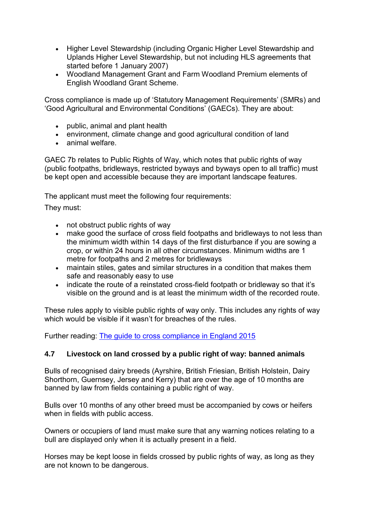- Higher Level Stewardship (including Organic Higher Level Stewardship and Uplands Higher Level Stewardship, but not including HLS agreements that started before 1 January 2007)
- Woodland Management Grant and Farm Woodland Premium elements of English Woodland Grant Scheme.

Cross compliance is made up of 'Statutory Management Requirements' (SMRs) and 'Good Agricultural and Environmental Conditions' (GAECs). They are about:

- public, animal and plant health
- environment, climate change and good agricultural condition of land
- animal welfare.

GAEC 7b relates to Public Rights of Way, which notes that public rights of way (public footpaths, bridleways, restricted byways and byways open to all traffic) must be kept open and accessible because they are important landscape features.

The applicant must meet the following four requirements:

They must:

- not obstruct public rights of way
- make good the surface of cross field footpaths and bridleways to not less than the minimum width within 14 days of the first disturbance if you are sowing a crop, or within 24 hours in all other circumstances. Minimum widths are 1 metre for footpaths and 2 metres for bridleways
- maintain stiles, gates and similar structures in a condition that makes them safe and reasonably easy to use
- indicate the route of a reinstated cross-field footpath or bridleway so that it's visible on the ground and is at least the minimum width of the recorded route.

These rules apply to visible public rights of way only. This includes any rights of way which would be visible if it wasn't for breaches of the rules.

Further reading: [The guide to cross compliance in England 2015](https://www.gov.uk/government/publications/cross-compliance-guidance-for-2015)

# **4.7 Livestock on land crossed by a public right of way: banned animals**

Bulls of recognised dairy breeds (Ayrshire, British Friesian, British Holstein, Dairy Shorthorn, Guernsey, Jersey and Kerry) that are over the age of 10 months are banned by law from fields containing a public right of way.

Bulls over 10 months of any other breed must be accompanied by cows or heifers when in fields with public access.

Owners or occupiers of land must make sure that any warning notices relating to a bull are displayed only when it is actually present in a field.

Horses may be kept loose in fields crossed by public rights of way, as long as they are not known to be dangerous.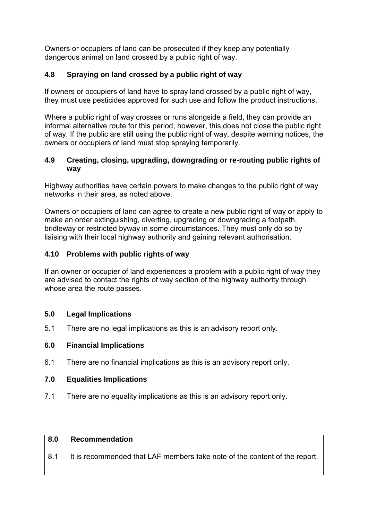Owners or occupiers of land can be prosecuted if they keep any potentially dangerous animal on land crossed by a public right of way.

# **4.8 Spraying on land crossed by a public right of way**

If owners or occupiers of land have to spray land crossed by a public right of way. they must use pesticides approved for such use and follow the product instructions.

Where a public right of way crosses or runs alongside a field, they can provide an informal alternative route for this period, however, this does not close the public right of way. If the public are still using the public right of way, despite warning notices, the owners or occupiers of land must stop spraying temporarily.

### **4.9 Creating, closing, upgrading, downgrading or re-routing public rights of way**

Highway authorities have certain powers to make changes to the public right of way networks in their area, as noted above.

Owners or occupiers of land can agree to create a new public right of way or apply to make an order extinguishing, diverting, upgrading or downgrading a footpath, bridleway or restricted byway in some circumstances. They must only do so by liaising with their local highway authority and gaining relevant authorisation.

# **4.10 Problems with public rights of way**

If an owner or occupier of land experiences a problem with a public right of way they are advised to contact the rights of way section of the highway authority through whose area the route passes.

#### **5.0 Legal Implications**

5.1 There are no legal implications as this is an advisory report only.

# **6.0 Financial Implications**

6.1 There are no financial implications as this is an advisory report only.

#### **7.0 Equalities Implications**

7.1 There are no equality implications as this is an advisory report only.

#### **8.0 Recommendation**

8.1 It is recommended that LAF members take note of the content of the report.